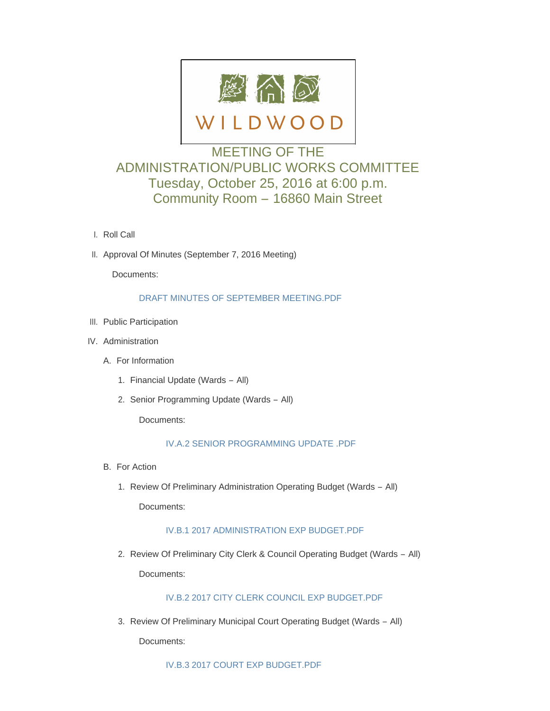

# MEETING OF THE ADMINISTRATION/PUBLIC WORKS COMMITTEE Tuesday, October 25, 2016 at 6:00 p.m. Community Room – 16860 Main Street

- l. Roll Call
- II. Approval Of Minutes (September 7, 2016 Meeting)

Documents:

## [DRAFT MINUTES OF SEPTEMBER MEETING.PDF](http://mo-wildwood.civicplus.com/AgendaCenter/ViewFile/Item/8585?fileID=12830)

- III. Public Participation
- IV. Administration
	- A. For Information
		- 1. Financial Update (Wards All)
		- 2. Senior Programming Update (Wards All)

Documents:

## [IV.A.2 SENIOR PROGRAMMING UPDATE .PDF](http://mo-wildwood.civicplus.com/AgendaCenter/ViewFile/Item/8589?fileID=12831)

- B. For Action
	- 1. Review Of Preliminary Administration Operating Budget (Wards All)

Documents:

## [IV.B.1 2017 ADMINISTRATION EXP BUDGET.PDF](http://mo-wildwood.civicplus.com/AgendaCenter/ViewFile/Item/8591?fileID=12832)

2. Review Of Preliminary City Clerk & Council Operating Budget (Wards - All)

Documents:

# [IV.B.2 2017 CITY CLERK COUNCIL EXP BUDGET.PDF](http://mo-wildwood.civicplus.com/AgendaCenter/ViewFile/Item/8592?fileID=12833)

3. Review Of Preliminary Municipal Court Operating Budget (Wards - All)

Documents: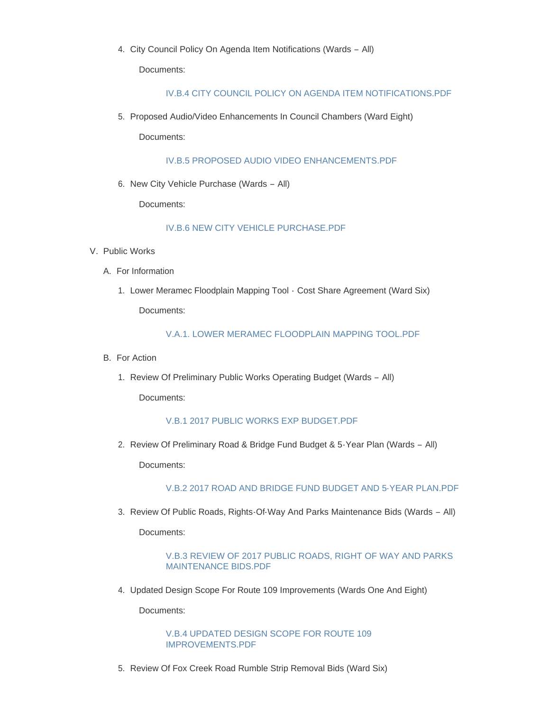4. City Council Policy On Agenda Item Notifications (Wards - All)

Documents:

#### [IV.B.4 CITY COUNCIL POLICY ON AGENDA ITEM NOTIFICATIONS.PDF](http://mo-wildwood.civicplus.com/AgendaCenter/ViewFile/Item/8594?fileID=12835)

5. Proposed Audio/Video Enhancements In Council Chambers (Ward Eight)

Documents:

[IV.B.5 PROPOSED AUDIO VIDEO ENHANCEMENTS.PDF](http://mo-wildwood.civicplus.com/AgendaCenter/ViewFile/Item/8595?fileID=12836)

6. New City Vehicle Purchase (Wards - All)

Documents:

## [IV.B.6 NEW CITY VEHICLE PURCHASE.PDF](http://mo-wildwood.civicplus.com/AgendaCenter/ViewFile/Item/8596?fileID=12837)

- V. Public Works
	- A. For Information
		- 1. Lower Meramec Floodplain Mapping Tool Cost Share Agreement (Ward Six) Documents:

[V.A.1. LOWER MERAMEC FLOODPLAIN MAPPING TOOL.PDF](http://mo-wildwood.civicplus.com/AgendaCenter/ViewFile/Item/8599?fileID=12838)

- B. For Action
	- 1. Review Of Preliminary Public Works Operating Budget (Wards All)

Documents:

## [V.B.1 2017 PUBLIC WORKS EXP BUDGET.PDF](http://mo-wildwood.civicplus.com/AgendaCenter/ViewFile/Item/8601?fileID=12839)

2. Review Of Preliminary Road & Bridge Fund Budget & 5-Year Plan (Wards - All)

Documents:

[V.B.2 2017 ROAD AND BRIDGE FUND BUDGET AND 5-YEAR PLAN.PDF](http://mo-wildwood.civicplus.com/AgendaCenter/ViewFile/Item/8602?fileID=12840)

3. Review Of Public Roads, Rights-Of-Way And Parks Maintenance Bids (Wards - All)

Documents:

## [V.B.3 REVIEW OF 2017 PUBLIC ROADS, RIGHT OF WAY AND PARKS](http://mo-wildwood.civicplus.com/AgendaCenter/ViewFile/Item/8603?fileID=12841)  MAINTENANCE BIDS.PDF

4. Updated Design Scope For Route 109 Improvements (Wards One And Eight)

Documents:

[V.B.4 UPDATED DESIGN SCOPE FOR ROUTE 109](http://mo-wildwood.civicplus.com/AgendaCenter/ViewFile/Item/8604?fileID=12842)  IMPROVEMENTS.PDF

5. Review Of Fox Creek Road Rumble Strip Removal Bids (Ward Six)